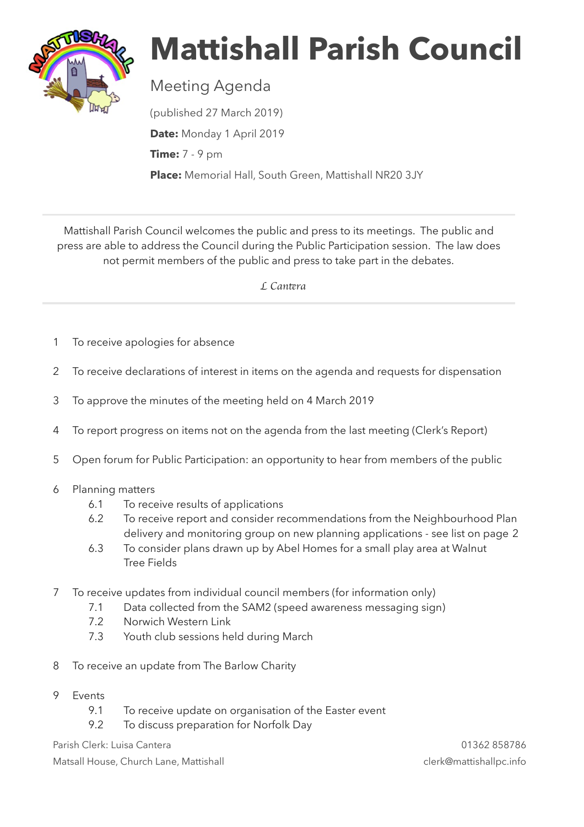

## **Mattishall Parish Council**

Meeting Agenda

(published 27 March 2019) **Date:** Monday 1 April 2019 **Time:** 7 - 9 pm **Place:** Memorial Hall, South Green, Mattishall NR20 3JY

Mattishall Parish Council welcomes the public and press to its meetings. The public and press are able to address the Council during the Public Participation session. The law does not permit members of the public and press to take part in the debates.

 *L Can*t*ra* 

- 1 To receive apologies for absence
- 2 To receive declarations of interest in items on the agenda and requests for dispensation
- 3 To approve the minutes of the meeting held on 4 March 2019
- 4 To report progress on items not on the agenda from the last meeting (Clerk's Report)
- 5 Open forum for Public Participation: an opportunity to hear from members of the public
- 6 Planning matters
	- 6.1 To receive results of applications
	- 6.2 To receive report and consider recommendations from the Neighbourhood Plan delivery and monitoring group on new planning applications - see list on page 2
	- 6.3 To consider plans drawn up by Abel Homes for a small play area at Walnut Tree Fields
- 7 To receive updates from individual council members (for information only)
	- 7.1 Data collected from the SAM2 (speed awareness messaging sign)
	- 7.2 Norwich Western Link
	- 7.3 Youth club sessions held during March
- 8 To receive an update from The Barlow Charity
- 9 Events
	- 9.1 To receive update on organisation of the Easter event
	- 9.2 To discuss preparation for Norfolk Day

Parish Clerk: Luisa Cantera 01362 858786

Matsall House, Church Lane, Mattishall clerk@mattishallpc.info